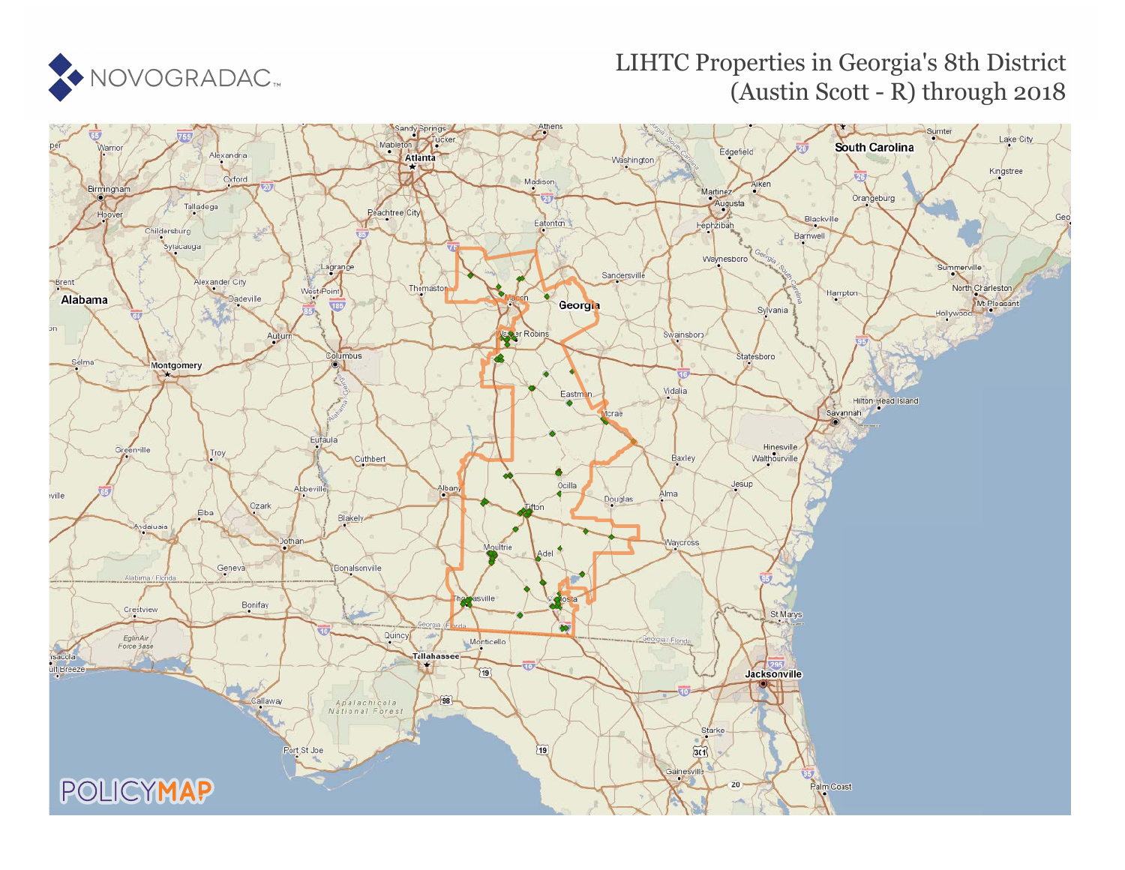

## LIHTC Properties in Georgia's 8th District (Austin Scott - R) through 2018

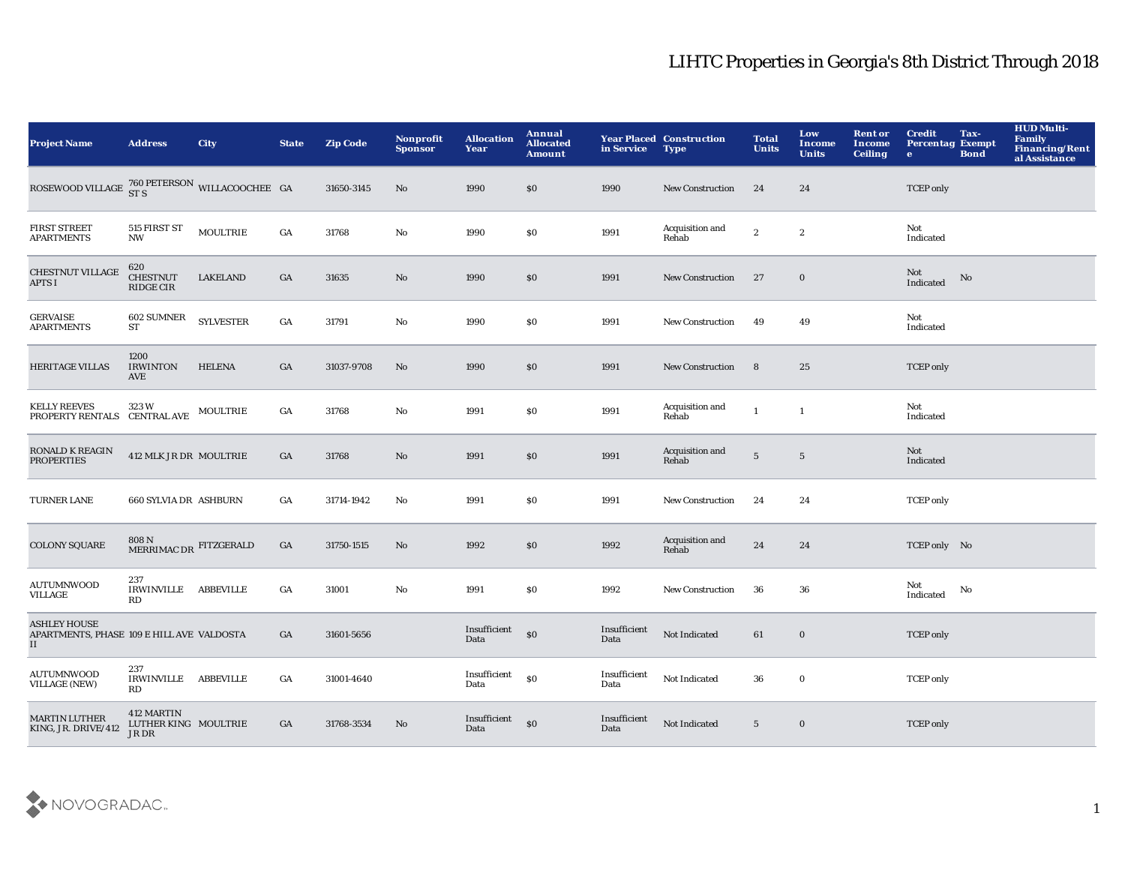| <b>Project Name</b>                                                    | <b>Address</b>                                        | City             | <b>State</b> | <b>Zip Code</b> | Nonprofit<br><b>Sponsor</b> | <b>Allocation</b><br>Year | Annual<br><b>Allocated</b><br><b>Amount</b> | in Service           | <b>Year Placed Construction</b><br><b>Type</b> | <b>Total</b><br><b>Units</b> | Low<br>Income<br><b>Units</b> | <b>Rent or</b><br>Income<br><b>Ceiling</b> | <b>Credit</b><br><b>Percentag Exempt</b><br>$\bullet$ | Tax-<br><b>Bond</b> | <b>HUD Multi-</b><br>Family<br>Financing/Rent<br>al Assistance |
|------------------------------------------------------------------------|-------------------------------------------------------|------------------|--------------|-----------------|-----------------------------|---------------------------|---------------------------------------------|----------------------|------------------------------------------------|------------------------------|-------------------------------|--------------------------------------------|-------------------------------------------------------|---------------------|----------------------------------------------------------------|
| ROSEWOOD VILLAGE $^{760}_{\rm ST\,S}$ PETERSON WILLACOOCHEE GA         |                                                       |                  |              | 31650-3145      | No                          | 1990                      | \$0                                         | 1990                 | <b>New Construction</b>                        | 24                           | 24                            |                                            | <b>TCEP</b> only                                      |                     |                                                                |
| <b>FIRST STREET</b><br><b>APARTMENTS</b>                               | 515 FIRST ST<br><b>NW</b>                             | <b>MOULTRIE</b>  | GA           | 31768           | No                          | 1990                      | \$0                                         | 1991                 | Acquisition and<br>Rehab                       | $\boldsymbol{2}$             | $\boldsymbol{2}$              |                                            | Not<br>Indicated                                      |                     |                                                                |
| <b>CHESTNUT VILLAGE</b><br><b>APTS I</b>                               | 620<br><b>CHESTNUT</b><br>RIDGE CIR                   | <b>LAKELAND</b>  | GA           | 31635           | No                          | 1990                      | \$0                                         | 1991                 | <b>New Construction</b>                        | 27                           | $\mathbf 0$                   |                                            | Not<br>Indicated                                      | No                  |                                                                |
| <b>GERVAISE</b><br><b>APARTMENTS</b>                                   | 602 SUMNER<br>${\cal S}{\cal T}$                      | <b>SYLVESTER</b> | GA           | 31791           | $\mathbf{N}\mathbf{o}$      | 1990                      | \$0                                         | 1991                 | <b>New Construction</b>                        | 49                           | 49                            |                                            | Not<br>Indicated                                      |                     |                                                                |
| <b>HERITAGE VILLAS</b>                                                 | 1200<br><b>IRWINTON</b><br>AVE                        | <b>HELENA</b>    | GA           | 31037-9708      | No                          | 1990                      | $\$0$                                       | 1991                 | <b>New Construction</b>                        | 8                            | 25                            |                                            | <b>TCEP</b> only                                      |                     |                                                                |
| <b>KELLY REEVES</b><br>PROPERTY RENTALS CENTRAL AVE                    | 323W                                                  | MOULTRIE         | GA           | 31768           | $\mathbf{N}\mathbf{o}$      | 1991                      | $\$0$                                       | 1991                 | Acquisition and<br>Rehab                       | $\mathbf{1}$                 | 1                             |                                            | Not<br>Indicated                                      |                     |                                                                |
| RONALD K REAGIN<br><b>PROPERTIES</b>                                   | 412 MLK JR DR MOULTRIE                                |                  | GA           | 31768           | No                          | 1991                      | $\$0$                                       | 1991                 | Acquisition and<br>Rehab                       | $\sqrt{5}$                   | $\overline{\mathbf{5}}$       |                                            | Not<br>Indicated                                      |                     |                                                                |
| TURNER LANE                                                            | 660 SYLVIA DR ASHBURN                                 |                  | GA           | 31714-1942      | No                          | 1991                      | $\$0$                                       | 1991                 | <b>New Construction</b>                        | 24                           | 24                            |                                            | <b>TCEP</b> only                                      |                     |                                                                |
| <b>COLONY SQUARE</b>                                                   | $808$ N $_{\rm MERRIMAC\,DR}$ <code>FITZGERALD</code> |                  | GA           | 31750-1515      | No                          | 1992                      | \$0                                         | 1992                 | Acquisition and<br>Rehab                       | 24                           | 24                            |                                            | TCEP only No                                          |                     |                                                                |
| <b>AUTUMNWOOD</b><br>VILLAGE                                           | 237<br>IRWINVILLE ABBEVILLE<br>RD                     |                  | GA           | 31001           | $\mathbf{N}\mathbf{o}$      | 1991                      | $\$0$                                       | 1992                 | <b>New Construction</b>                        | 36                           | 36                            |                                            | Not<br>Indicated                                      | No                  |                                                                |
| <b>ASHLEY HOUSE</b><br>APARTMENTS, PHASE 109 E HILL AVE VALDOSTA<br>II |                                                       |                  | GA           | 31601-5656      |                             | Insufficient<br>Data      | $\boldsymbol{\mathsf{S}}$                   | Insufficient<br>Data | Not Indicated                                  | 61                           | $\bf{0}$                      |                                            | <b>TCEP</b> only                                      |                     |                                                                |
| <b>AUTUMNWOOD</b><br><b>VILLAGE (NEW)</b>                              | 237<br><b>IRWINVILLE</b><br>RD                        | <b>ABBEVILLE</b> | GA           | 31001-4640      |                             | Insufficient<br>Data      | $\$0$                                       | Insufficient<br>Data | Not Indicated                                  | 36                           | $\mathbf 0$                   |                                            | <b>TCEP</b> only                                      |                     |                                                                |
| <b>MARTIN LUTHER</b><br>KING, JR. DRIVE/412                            | 412 MARTIN<br>LUTHER KING MOULTRIE<br>JR DR           |                  | GA           | 31768-3534      | No                          | Insufficient<br>Data      | \$0                                         | Insufficient<br>Data | Not Indicated                                  | $5\phantom{.0}$              | $\bf{0}$                      |                                            | <b>TCEP</b> only                                      |                     |                                                                |

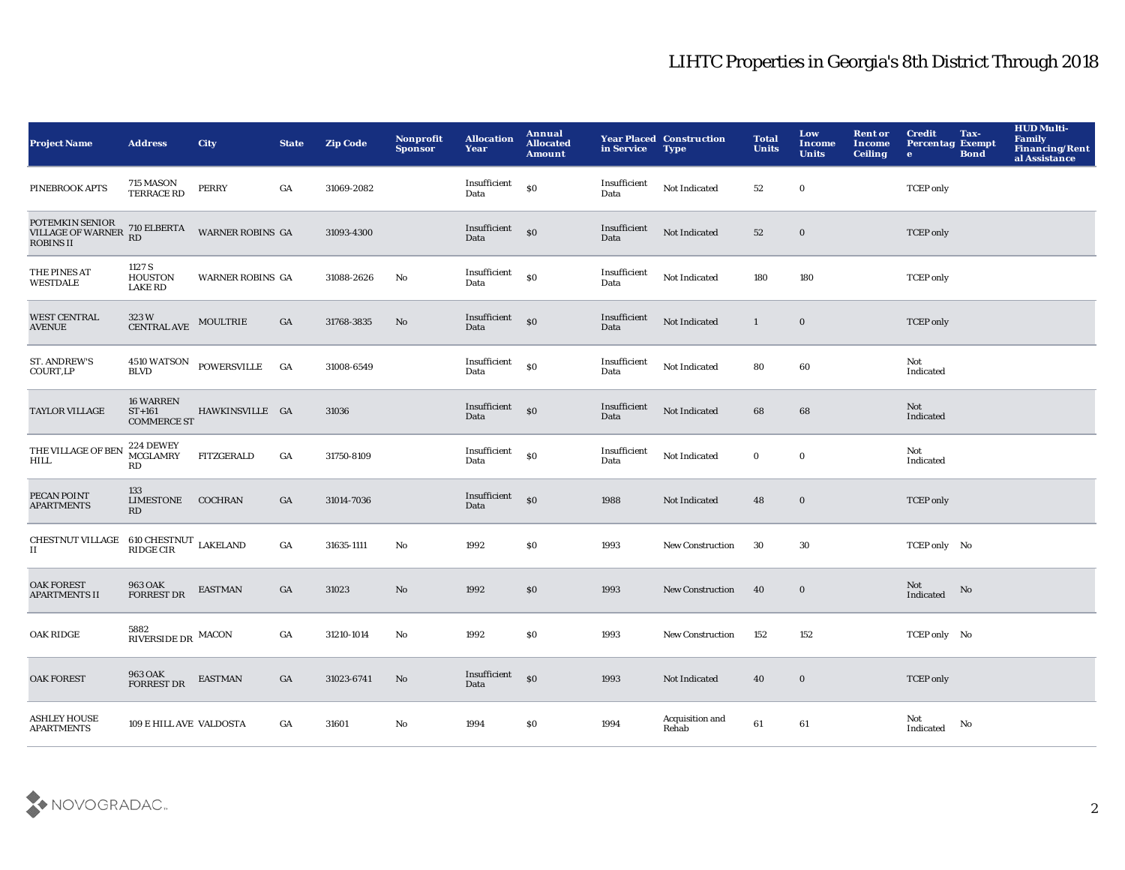| <b>Project Name</b>                                                                                                        | <b>Address</b>                                     | <b>City</b>                | <b>State</b> | <b>Zip Code</b> | Nonprofit<br><b>Sponsor</b> | <b>Allocation</b><br>Year | Annual<br><b>Allocated</b><br><b>Amount</b>      | in Service           | <b>Year Placed Construction</b><br><b>Type</b> | <b>Total</b><br><b>Units</b> | Low<br>Income<br><b>Units</b> | <b>Rent or</b><br>Income<br><b>Ceiling</b> | <b>Credit</b><br>Tax-<br><b>Percentag Exempt</b><br><b>Bond</b><br>$\bullet$ | <b>HUD Multi-</b><br><b>Family</b><br>Financing/Rent<br>al Assistance |
|----------------------------------------------------------------------------------------------------------------------------|----------------------------------------------------|----------------------------|--------------|-----------------|-----------------------------|---------------------------|--------------------------------------------------|----------------------|------------------------------------------------|------------------------------|-------------------------------|--------------------------------------------|------------------------------------------------------------------------------|-----------------------------------------------------------------------|
| PINEBROOK APTS                                                                                                             | 715 MASON<br><b>TERRACE RD</b>                     | <b>PERRY</b>               | GA           | 31069-2082      |                             | Insufficient<br>Data      | \$0                                              | Insufficient<br>Data | Not Indicated                                  | 52                           | $\bf{0}$                      |                                            | <b>TCEP</b> only                                                             |                                                                       |
| POTEMKIN SENIOR<br>VILLAGE OF WARNER<br>ROBINS II                                                                          | 710 ELBERTA<br>RD                                  | <b>WARNER ROBINS GA</b>    |              | 31093-4300      |                             | Insufficient<br>Data      | $\boldsymbol{\mathsf{S}}$                        | Insufficient<br>Data | Not Indicated                                  | 52                           | $\bf{0}$                      |                                            | <b>TCEP</b> only                                                             |                                                                       |
| THE PINES AT<br><b>WESTDALE</b>                                                                                            | 1127 S<br><b>HOUSTON</b><br><b>LAKE RD</b>         | <b>WARNER ROBINS GA</b>    |              | 31088-2626      | $\mathbf{N}\mathbf{o}$      | Insufficient<br>Data      | $\boldsymbol{\mathsf{S}}\boldsymbol{\mathsf{O}}$ | Insufficient<br>Data | Not Indicated                                  | 180                          | 180                           |                                            | <b>TCEP</b> only                                                             |                                                                       |
| <b>WEST CENTRAL</b><br><b>AVENUE</b>                                                                                       | 323W<br>CENTRAL AVE MOULTRIE                       |                            | GA           | 31768-3835      | No                          | Insufficient<br>Data      | \$0                                              | Insufficient<br>Data | Not Indicated                                  | $\mathbf{1}$                 | $\mathbf 0$                   |                                            | <b>TCEP</b> only                                                             |                                                                       |
| <b>ST. ANDREW'S</b><br>COURT,LP                                                                                            | <b>BLVD</b>                                        | 4510 WATSON POWERSVILLE GA |              | 31008-6549      |                             | Insufficient<br>Data      | $\mathbf{S}$                                     | Insufficient<br>Data | Not Indicated                                  | 80                           | 60                            |                                            | Not<br>Indicated                                                             |                                                                       |
| <b>TAYLOR VILLAGE</b>                                                                                                      | <b>16 WARREN</b><br>$ST+161$<br><b>COMMERCE ST</b> | HAWKINSVILLE GA            |              | 31036           |                             | Insufficient<br>Data      | \$0                                              | Insufficient<br>Data | Not Indicated                                  | 68                           | 68                            |                                            | Not<br>Indicated                                                             |                                                                       |
| THE VILLAGE OF BEN<br><b>HILL</b>                                                                                          | 224 DEWEY<br><b>MCGLAMRY</b><br>RD                 | FITZGERALD                 | GA           | 31750-8109      |                             | Insufficient<br>Data      | <sub>so</sub>                                    | Insufficient<br>Data | Not Indicated                                  | $\bf{0}$                     | $\mathbf 0$                   |                                            | Not<br>Indicated                                                             |                                                                       |
| PECAN POINT<br><b>APARTMENTS</b>                                                                                           | 133<br>LIMESTONE COCHRAN<br>RD                     |                            | GA           | 31014-7036      |                             | Insufficient<br>Data      | \$0                                              | 1988                 | Not Indicated                                  | 48                           | $\mathbf 0$                   |                                            | <b>TCEP</b> only                                                             |                                                                       |
| $\begin{tabular}{ll} \bf CHESTNUT~VILLAGE & 610~CHESTNUT & LAKELAND \\ \bf II & \bf RIDE~CIR & \bf LAKELAND \end{tabular}$ |                                                    |                            | GA           | 31635-1111      | No                          | 1992                      | \$0\$                                            | 1993                 | New Construction                               | 30                           | 30                            |                                            | TCEP only No                                                                 |                                                                       |
| <b>OAK FOREST</b><br><b>APARTMENTS II</b>                                                                                  | <b>963 OAK</b><br><b>FORREST DR</b>                | <b>EASTMAN</b>             | GA           | 31023           | $\mathbf{No}$               | 1992                      | \$0                                              | 1993                 | New Construction                               | 40                           | $\mathbf 0$                   |                                            | Not<br>No<br>Indicated                                                       |                                                                       |
| <b>OAK RIDGE</b>                                                                                                           | $5882$ RIVERSIDE DR $\,$ MACON $\,$                |                            | GA           | 31210-1014      | No                          | 1992                      | \$0                                              | 1993                 | <b>New Construction</b>                        | 152                          | 152                           |                                            | TCEP only No                                                                 |                                                                       |
| <b>OAK FOREST</b>                                                                                                          | 963 OAK<br><b>FORREST DR</b>                       | <b>EASTMAN</b>             | GA           | 31023-6741      | No                          | Insufficient<br>Data      | $\boldsymbol{\mathsf{S}}\boldsymbol{\mathsf{O}}$ | 1993                 | Not Indicated                                  | 40                           | $\mathbf 0$                   |                                            | <b>TCEP</b> only                                                             |                                                                       |
| ASHLEY HOUSE<br><b>APARTMENTS</b>                                                                                          | 109 E HILL AVE VALDOSTA                            |                            | GA           | 31601           | No                          | 1994                      | S <sub>0</sub>                                   | 1994                 | Acquisition and<br>Rehab                       | 61                           | 61                            |                                            | Not<br>No<br>Indicated                                                       |                                                                       |

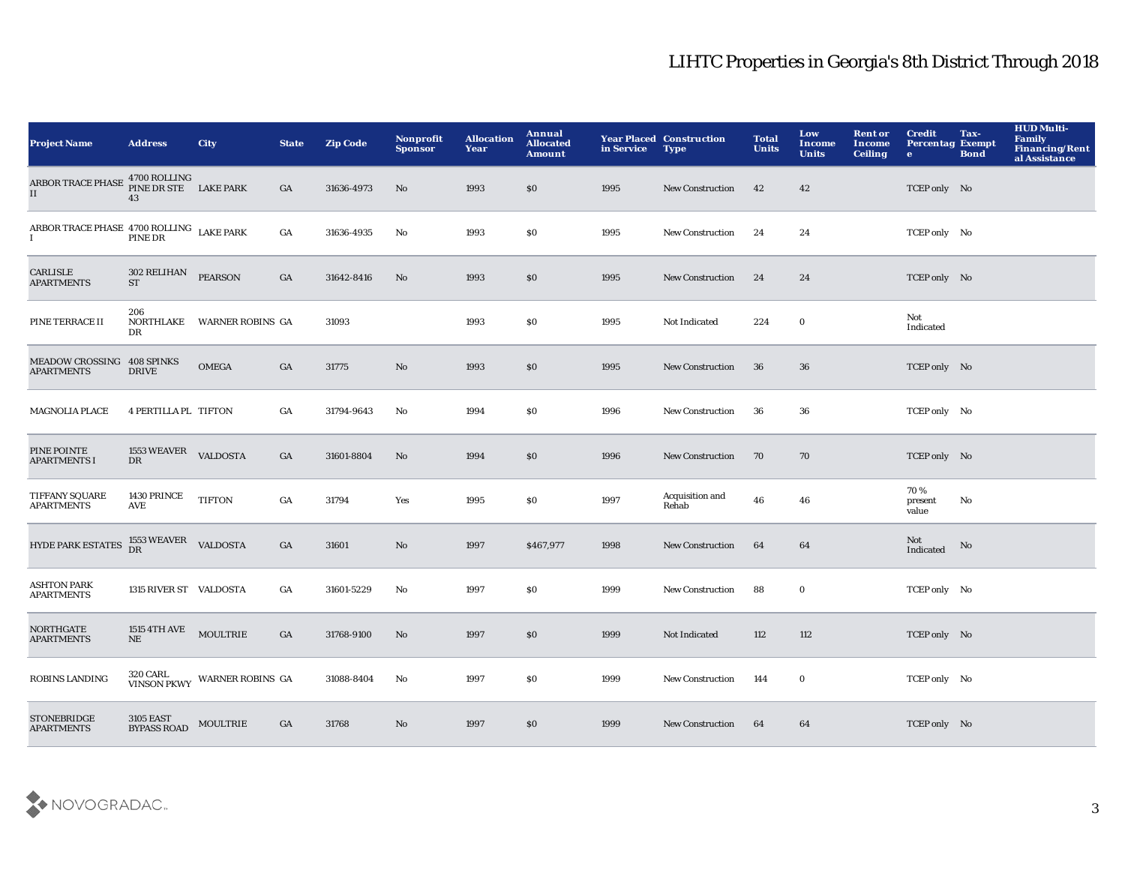| <b>Project Name</b>                                                                                                                        | <b>Address</b>                              | <b>City</b>                              | <b>State</b> | <b>Zip Code</b> | Nonprofit<br><b>Sponsor</b> | <b>Allocation</b><br>Year | Annual<br><b>Allocated</b><br><b>Amount</b> | in Service | <b>Year Placed Construction</b><br><b>Type</b> | <b>Total</b><br><b>Units</b> | Low<br>Income<br><b>Units</b> | <b>Rent or</b><br>Income<br><b>Ceiling</b> | <b>Credit</b><br><b>Percentag Exempt</b><br>$\bullet$ | Tax-<br><b>Bond</b> | <b>HUD Multi-</b><br><b>Family</b><br><b>Financing/Rent</b><br>al Assistance |
|--------------------------------------------------------------------------------------------------------------------------------------------|---------------------------------------------|------------------------------------------|--------------|-----------------|-----------------------------|---------------------------|---------------------------------------------|------------|------------------------------------------------|------------------------------|-------------------------------|--------------------------------------------|-------------------------------------------------------|---------------------|------------------------------------------------------------------------------|
| <b>ARBOR TRACE PHASE</b><br>II                                                                                                             | 4700 ROLLING<br>PINE DR STE LAKE PARK<br>43 |                                          | GA           | 31636-4973      | No                          | 1993                      | \$0                                         | 1995       | <b>New Construction</b>                        | 42                           | 42                            |                                            | TCEP only No                                          |                     |                                                                              |
| ${\begin{array}{cc} \textbf{ARBOR TRACE PHASE} & \textbf{4700 ROLLING} & \textbf{LAKE PARK} \\ \textbf{I} & \textbf{PINE DR} \end{array}}$ |                                             |                                          | GA           | 31636-4935      | $\mathbf{N}\mathbf{o}$      | 1993                      | \$0                                         | 1995       | New Construction                               | 24                           | 24                            |                                            | TCEP only No                                          |                     |                                                                              |
| CARLISLE<br><b>APARTMENTS</b>                                                                                                              | 302 RELIHAN<br><b>ST</b>                    | <b>PEARSON</b>                           | GA           | 31642-8416      | $\mathbf{N}\mathbf{o}$      | 1993                      | $\$0$                                       | 1995       | <b>New Construction</b>                        | 24                           | 24                            |                                            | TCEP only No                                          |                     |                                                                              |
| PINE TERRACE II                                                                                                                            | 206<br>NORTHLAKE<br>DR                      | <b>WARNER ROBINS GA</b>                  |              | 31093           |                             | 1993                      | \$0                                         | 1995       | Not Indicated                                  | 224                          | $\bf{0}$                      |                                            | Not<br>Indicated                                      |                     |                                                                              |
| <b>MEADOW CROSSING</b><br><b>APARTMENTS</b>                                                                                                | <b>408 SPINKS</b><br><b>DRIVE</b>           | <b>OMEGA</b>                             | GA           | 31775           | No                          | 1993                      | $\$0$                                       | 1995       | <b>New Construction</b>                        | 36                           | 36                            |                                            | TCEP only No                                          |                     |                                                                              |
| <b>MAGNOLIA PLACE</b>                                                                                                                      | 4 PERTILLA PL TIFTON                        |                                          | GA           | 31794-9643      | No                          | 1994                      | \$0                                         | 1996       | <b>New Construction</b>                        | 36                           | 36                            |                                            | TCEP only No                                          |                     |                                                                              |
| PINE POINTE<br><b>APARTMENTS I</b>                                                                                                         | 1553 WEAVER VALDOSTA<br>DR                  |                                          | GA           | 31601-8804      | No                          | 1994                      | \$0                                         | 1996       | <b>New Construction</b>                        | 70                           | 70                            |                                            | TCEP only No                                          |                     |                                                                              |
| TIFFANY SQUARE<br><b>APARTMENTS</b>                                                                                                        | 1430 PRINCE<br>AVE                          | <b>TIFTON</b>                            | GA           | 31794           | Yes                         | 1995                      | \$0                                         | 1997       | Acquisition and<br>Rehab                       | 46                           | 46                            |                                            | 70%<br>present<br>value                               | No                  |                                                                              |
| <b>HYDE PARK ESTATES</b>                                                                                                                   | $1553\,\rm{WEAVER}$ VALDOSTA DR             |                                          | GA           | 31601           | $\mathbf{N}\mathbf{o}$      | 1997                      | \$467,977                                   | 1998       | <b>New Construction</b>                        | 64                           | 64                            |                                            | Not<br>Indicated                                      | No                  |                                                                              |
| <b>ASHTON PARK</b><br><b>APARTMENTS</b>                                                                                                    | 1315 RIVER ST VALDOSTA                      |                                          | GA           | 31601-5229      | No                          | 1997                      | \$0                                         | 1999       | <b>New Construction</b>                        | 88                           | $\bf{0}$                      |                                            | TCEP only No                                          |                     |                                                                              |
| <b>NORTHGATE</b><br><b>APARTMENTS</b>                                                                                                      | 1515 4TH AVE MOULTRIE<br>NE                 |                                          | GA           | 31768-9100      | No                          | 1997                      | \$0                                         | 1999       | Not Indicated                                  | 112                          | 112                           |                                            | TCEP only No                                          |                     |                                                                              |
| ROBINS LANDING                                                                                                                             |                                             | 320 CARL<br>VINSON PKWY WARNER ROBINS GA |              | 31088-8404      | No                          | 1997                      | \$0                                         | 1999       | New Construction                               | 144                          | $\bf{0}$                      |                                            | TCEP only No                                          |                     |                                                                              |
| <b>STONEBRIDGE</b><br><b>APARTMENTS</b>                                                                                                    | <b>3105 EAST</b><br><b>BYPASS ROAD</b>      | <b>MOULTRIE</b>                          | GA           | 31768           | No                          | 1997                      | \$0                                         | 1999       | <b>New Construction</b>                        | 64                           | 64                            |                                            | TCEP only No                                          |                     |                                                                              |

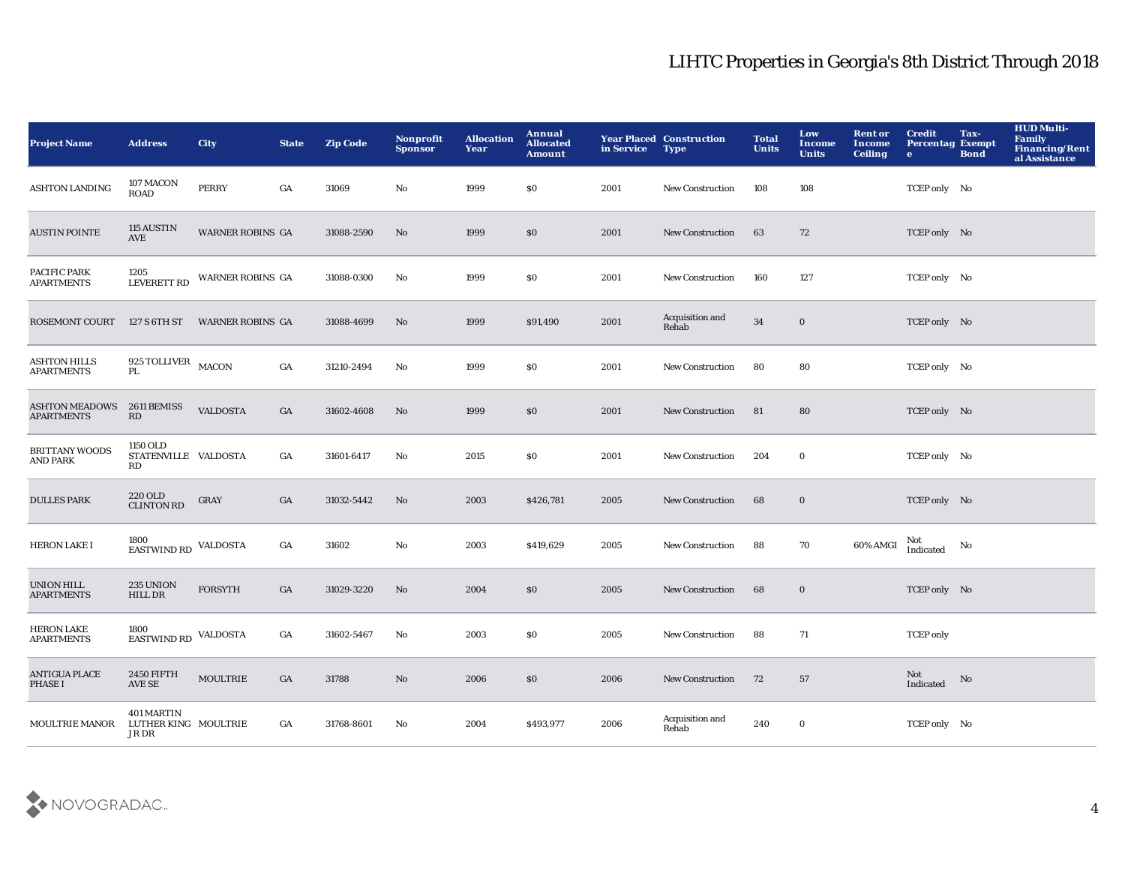| <b>Project Name</b>                        | <b>Address</b>                                     | <b>City</b>             | <b>State</b> | <b>Zip Code</b> | Nonprofit<br><b>Sponsor</b> | <b>Allocation</b><br>Year | Annual<br><b>Allocated</b><br><b>Amount</b> | in Service | <b>Year Placed Construction</b><br><b>Type</b> | <b>Total</b><br><b>Units</b> | Low<br>Income<br><b>Units</b> | <b>Rent or</b><br><b>Income</b><br><b>Ceiling</b> | <b>Credit</b><br><b>Percentag Exempt</b><br>$\bullet$ | Tax-<br><b>Bond</b> | <b>HUD Multi-</b><br><b>Family</b><br><b>Financing/Rent</b><br>al Assistance |
|--------------------------------------------|----------------------------------------------------|-------------------------|--------------|-----------------|-----------------------------|---------------------------|---------------------------------------------|------------|------------------------------------------------|------------------------------|-------------------------------|---------------------------------------------------|-------------------------------------------------------|---------------------|------------------------------------------------------------------------------|
| <b>ASHTON LANDING</b>                      | 107 MACON<br><b>ROAD</b>                           | <b>PERRY</b>            | GA           | 31069           | No                          | 1999                      | \$0                                         | 2001       | <b>New Construction</b>                        | 108                          | 108                           |                                                   | TCEP only No                                          |                     |                                                                              |
| <b>AUSTIN POINTE</b>                       | 115 AUSTIN<br>AVE                                  | WARNER ROBINS GA        |              | 31088-2590      | No                          | 1999                      | \$0                                         | 2001       | <b>New Construction</b>                        | 63                           | 72                            |                                                   | TCEP only No                                          |                     |                                                                              |
| PACIFIC PARK<br><b>APARTMENTS</b>          | 1205<br><b>LEVERETT RD</b>                         | <b>WARNER ROBINS GA</b> |              | 31088-0300      | No                          | 1999                      | \$0                                         | 2001       | <b>New Construction</b>                        | 160                          | 127                           |                                                   | TCEP only No                                          |                     |                                                                              |
| <b>ROSEMONT COURT</b>                      | 127 S 6TH ST                                       | <b>WARNER ROBINS GA</b> |              | 31088-4699      | No                          | 1999                      | \$91,490                                    | 2001       | Acquisition and<br>Rehab                       | $\bf{34}$                    | $\mathbf 0$                   |                                                   | TCEP only No                                          |                     |                                                                              |
| <b>ASHTON HILLS</b><br><b>APARTMENTS</b>   | $925$ TOLLIVER $$\tt MACON$$<br>PL.                |                         | GA           | 31210-2494      | No                          | 1999                      | \$0                                         | 2001       | <b>New Construction</b>                        | 80                           | 80                            |                                                   | TCEP only No                                          |                     |                                                                              |
| <b>ASHTON MEADOWS</b><br><b>APARTMENTS</b> | 2611 BEMISS<br>RD                                  | <b>VALDOSTA</b>         | GA           | 31602-4608      | No                          | 1999                      | \$0                                         | 2001       | <b>New Construction</b>                        | 81                           | 80                            |                                                   | TCEP only No                                          |                     |                                                                              |
| <b>BRITTANY WOODS</b><br>AND PARK          | 1150 OLD<br>STATENVILLE VALDOSTA<br>RD             |                         | GA           | 31601-6417      | $\mathbf{No}$               | 2015                      | \$0                                         | 2001       | <b>New Construction</b>                        | 204                          | $\bf{0}$                      |                                                   | TCEP only No                                          |                     |                                                                              |
| <b>DULLES PARK</b>                         | 220 OLD<br><b>CLINTON RD</b>                       | GRAY                    | GA           | 31032-5442      | No                          | 2003                      | \$426,781                                   | 2005       | <b>New Construction</b>                        | 68                           | $\mathbf 0$                   |                                                   | TCEP only No                                          |                     |                                                                              |
| <b>HERON LAKE I</b>                        | 1800<br>EASTWIND RD VALDOSTA                       |                         | GA           | 31602           | $\mathbf{No}$               | 2003                      | \$419,629                                   | 2005       | <b>New Construction</b>                        | 88                           | 70                            | 60% AMGI                                          | Not<br>Indicated                                      | No                  |                                                                              |
| <b>UNION HILL</b><br><b>APARTMENTS</b>     | <b>235 UNION</b><br>HILL DR                        | <b>FORSYTH</b>          | GA           | 31029-3220      | No                          | 2004                      | $\$0$                                       | 2005       | <b>New Construction</b>                        | 68                           | $\mathbf 0$                   |                                                   | TCEP only No                                          |                     |                                                                              |
| <b>HERON LAKE</b><br><b>APARTMENTS</b>     | 1800<br>EASTWIND RD VALDOSTA                       |                         | GA           | 31602-5467      | No                          | 2003                      | \$0                                         | 2005       | <b>New Construction</b>                        | 88                           | 71                            |                                                   | <b>TCEP</b> only                                      |                     |                                                                              |
| <b>ANTIGUA PLACE</b><br><b>PHASE I</b>     | <b>2450 FIFTH</b><br><b>AVE SE</b>                 | <b>MOULTRIE</b>         | GA           | 31788           | No                          | 2006                      | \$0                                         | 2006       | <b>New Construction</b>                        | 72                           | 57                            |                                                   | Not<br>Indicated                                      | No                  |                                                                              |
| MOULTRIE MANOR                             | <b>401 MARTIN</b><br>LUTHER KING MOULTRIE<br>JR DR |                         | GA           | 31768-8601      | No                          | 2004                      | \$493,977                                   | 2006       | Acquisition and<br>Rehab                       | 240                          | $\bf{0}$                      |                                                   | TCEP only No                                          |                     |                                                                              |

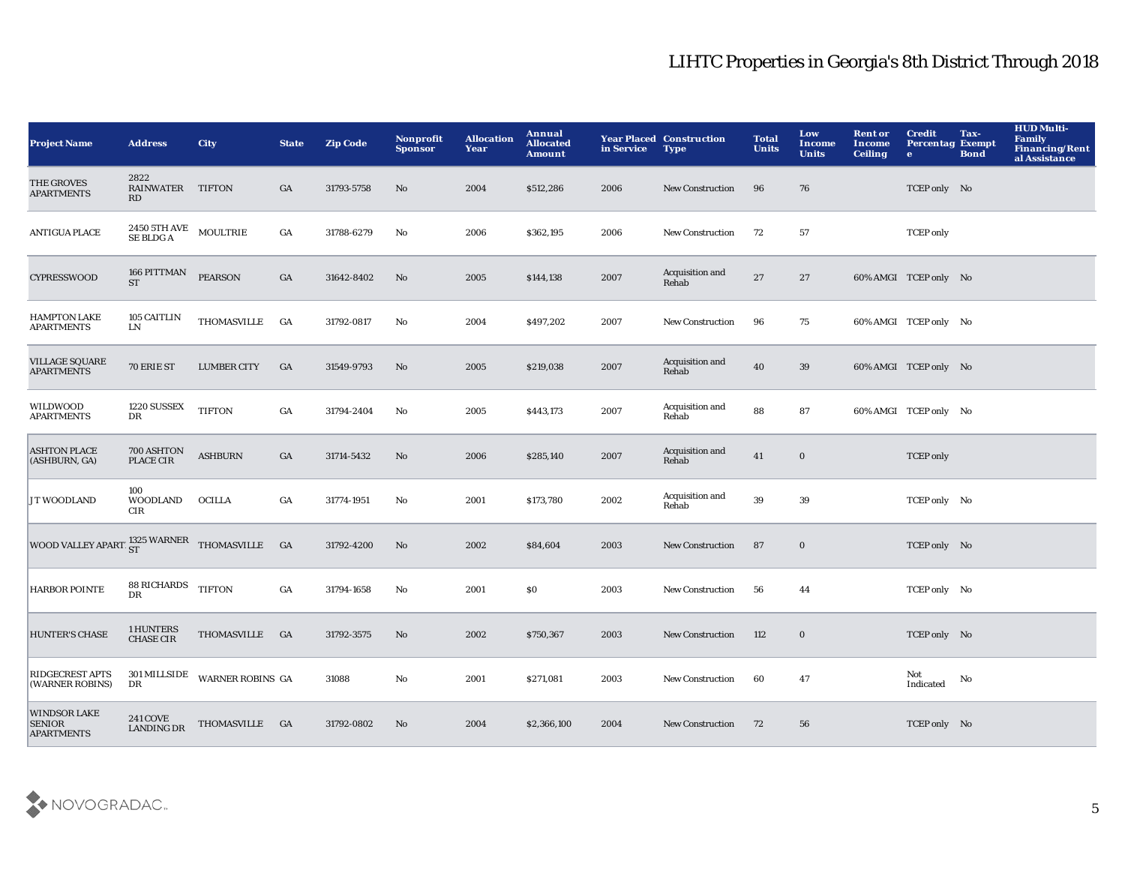| <b>Project Name</b>                                       | <b>Address</b>                            | <b>City</b>                   | <b>State</b>     | <b>Zip Code</b> | Nonprofit<br><b>Sponsor</b> | <b>Allocation</b><br>Year | Annual<br><b>Allocated</b><br><b>Amount</b> | in Service | <b>Year Placed Construction</b><br><b>Type</b> | <b>Total</b><br><b>Units</b> | Low<br><b>Income</b><br><b>Units</b> | <b>Rent or</b><br>Income<br><b>Ceiling</b> | <b>Credit</b><br><b>Percentag Exempt</b><br>$\bullet$ | Tax-<br><b>Bond</b> | <b>HUD Multi-</b><br><b>Family</b><br><b>Financing/Rent</b><br>al Assistance |
|-----------------------------------------------------------|-------------------------------------------|-------------------------------|------------------|-----------------|-----------------------------|---------------------------|---------------------------------------------|------------|------------------------------------------------|------------------------------|--------------------------------------|--------------------------------------------|-------------------------------------------------------|---------------------|------------------------------------------------------------------------------|
| THE GROVES<br><b>APARTMENTS</b>                           | 2822<br><b>RAINWATER</b><br>RD            | <b>TIFTON</b>                 | GA               | 31793-5758      | No                          | 2004                      | \$512,286                                   | 2006       | <b>New Construction</b>                        | 96                           | 76                                   |                                            | TCEP only No                                          |                     |                                                                              |
| <b>ANTIGUA PLACE</b>                                      | $2450$ 5TH AVE $\quad$ MOULTRIE SE BLDG A |                               | GA               | 31788-6279      | No                          | 2006                      | \$362,195                                   | 2006       | <b>New Construction</b>                        | 72                           | 57                                   |                                            | <b>TCEP</b> only                                      |                     |                                                                              |
| <b>CYPRESSWOOD</b>                                        | 166 PITTMAN<br><b>ST</b>                  | <b>PEARSON</b>                | GA               | 31642-8402      | $\mathbf{N}\mathbf{o}$      | 2005                      | \$144,138                                   | 2007       | Acquisition and<br>Rehab                       | $\bf 27$                     | 27                                   |                                            | 60% AMGI TCEP only No                                 |                     |                                                                              |
| <b>HAMPTON LAKE</b><br><b>APARTMENTS</b>                  | <b>105 CAITLIN</b><br>${\rm LN}$          | <b>THOMASVILLE</b>            | GA               | 31792-0817      | No                          | 2004                      | \$497,202                                   | 2007       | <b>New Construction</b>                        | 96                           | 75                                   |                                            | 60% AMGI TCEP only No                                 |                     |                                                                              |
| <b>VILLAGE SQUARE</b><br><b>APARTMENTS</b>                | 70 ERIE ST                                | <b>LUMBER CITY</b>            | GA               | 31549-9793      | $\mathbf{N}\mathbf{o}$      | 2005                      | \$219,038                                   | 2007       | Acquisition and<br>Rehab                       | 40                           | 39                                   |                                            | 60% AMGI TCEP only No                                 |                     |                                                                              |
| WILDWOOD<br><b>APARTMENTS</b>                             | 1220 SUSSEX<br>DR                         | <b>TIFTON</b>                 | GA               | 31794-2404      | $\mathbf{No}$               | 2005                      | \$443,173                                   | 2007       | Acquisition and<br>Rehab                       | 88                           | 87                                   |                                            | 60% AMGI TCEP only No                                 |                     |                                                                              |
| <b>ASHTON PLACE</b><br>(ASHBURN, GA)                      | 700 ASHTON<br>PLACE CIR                   | <b>ASHBURN</b>                | GA               | 31714-5432      | No                          | 2006                      | \$285,140                                   | 2007       | Acquisition and<br>Rehab                       | 41                           | $\mathbf 0$                          |                                            | <b>TCEP</b> only                                      |                     |                                                                              |
| JT WOODLAND                                               | 100<br><b>WOODLAND</b><br><b>CIR</b>      | OCILLA                        | $_{\mathrm{GA}}$ | 31774-1951      | No                          | 2001                      | \$173,780                                   | 2002       | Acquisition and<br>Rehab                       | $\bf 39$                     | 39                                   |                                            | TCEP only No                                          |                     |                                                                              |
| WOOD VALLEY APARTI $^{1325}_{ST}$ WARNER THOMASVILLE GA   |                                           |                               |                  | 31792-4200      | No                          | 2002                      | \$84,604                                    | 2003       | New Construction                               | 87                           | $\bf{0}$                             |                                            | TCEP only No                                          |                     |                                                                              |
| <b>HARBOR POINTE</b>                                      | 88 RICHARDS TIFTON<br><b>DR</b>           |                               | $_{\mathrm{GA}}$ | 31794-1658      | $\mathbf{No}$               | 2001                      | \$0                                         | 2003       | New Construction                               | 56                           | 44                                   |                                            | TCEP only No                                          |                     |                                                                              |
| <b>HUNTER'S CHASE</b>                                     | 1 HUNTERS<br><b>CHASE CIR</b>             | THOMASVILLE GA                |                  | 31792-3575      | No                          | 2002                      | \$750,367                                   | 2003       | <b>New Construction</b>                        | 112                          | $\bf{0}$                             |                                            | TCEP only No                                          |                     |                                                                              |
| RIDGECREST APTS<br>(WARNER ROBINS)                        | DR                                        | 301 MILLSIDE WARNER ROBINS GA |                  | 31088           | $\mathbf{No}$               | 2001                      | \$271,081                                   | 2003       | <b>New Construction</b>                        | 60                           | 47                                   |                                            | Not<br>Indicated                                      | No                  |                                                                              |
| <b>WINDSOR LAKE</b><br><b>SENIOR</b><br><b>APARTMENTS</b> | <b>241 COVE</b><br><b>LANDING DR</b>      | THOMASVILLE GA                |                  | 31792-0802      | No                          | 2004                      | \$2,366,100                                 | 2004       | <b>New Construction</b>                        | 72                           | 56                                   |                                            | TCEP only No                                          |                     |                                                                              |

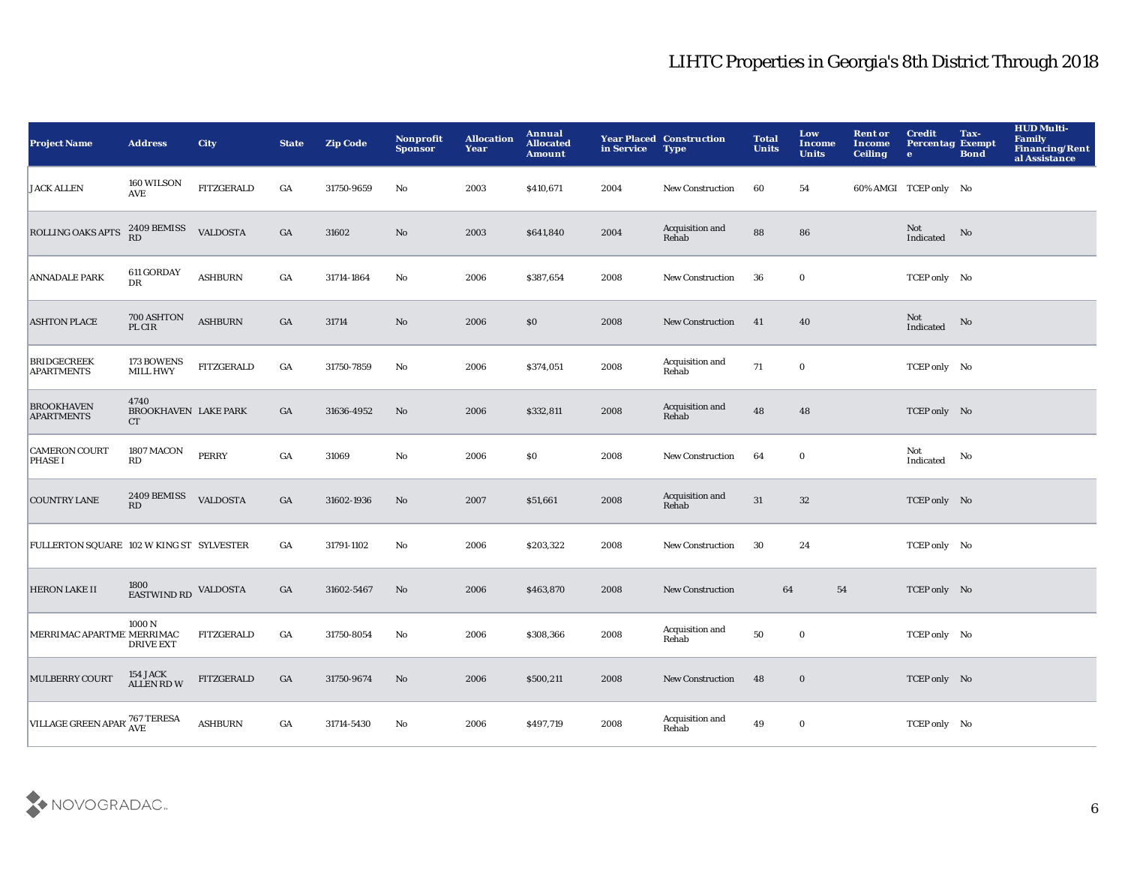| <b>Project Name</b>                      | <b>Address</b>                        | <b>City</b>       | <b>State</b>     | <b>Zip Code</b> | Nonprofit<br><b>Sponsor</b> | <b>Allocation</b><br>Year | <b>Annual</b><br><b>Allocated</b><br><b>Amount</b> | in Service | <b>Year Placed Construction</b><br><b>Type</b> | <b>Total</b><br><b>Units</b> | Low<br>Income<br><b>Units</b> | <b>Rent or</b><br><b>Income</b><br><b>Ceiling</b> | <b>Credit</b><br><b>Percentag Exempt</b><br>$\mathbf{e}$ | Tax-<br><b>Bond</b>    | <b>HUD Multi-</b><br><b>Family</b><br>Financing/Rent<br>al Assistance |
|------------------------------------------|---------------------------------------|-------------------|------------------|-----------------|-----------------------------|---------------------------|----------------------------------------------------|------------|------------------------------------------------|------------------------------|-------------------------------|---------------------------------------------------|----------------------------------------------------------|------------------------|-----------------------------------------------------------------------|
| <b>JACK ALLEN</b>                        | 160 WILSON<br><b>AVE</b>              | <b>FITZGERALD</b> | GA               | 31750-9659      | No                          | 2003                      | \$410,671                                          | 2004       | <b>New Construction</b>                        | 60                           | 54                            |                                                   | 60% AMGI TCEP only No                                    |                        |                                                                       |
| ROLLING OAKS APTS                        | 2409 BEMISS<br>RD                     | <b>VALDOSTA</b>   | $_{\mathrm{GA}}$ | 31602           | $\mathbf{No}$               | 2003                      | \$641,840                                          | 2004       | Acquisition and<br>Rehab                       | 88                           | 86                            |                                                   | Not<br>Indicated                                         | No                     |                                                                       |
| <b>ANNADALE PARK</b>                     | 611 GORDAY<br>DR                      | <b>ASHBURN</b>    | $_{\mathrm{GA}}$ | 31714-1864      | No                          | 2006                      | \$387,654                                          | 2008       | <b>New Construction</b>                        | 36                           | $\mathbf 0$                   |                                                   | TCEP only No                                             |                        |                                                                       |
| <b>ASHTON PLACE</b>                      | 700 ASHTON<br>PL CIR                  | <b>ASHBURN</b>    | $_{\mathrm{GA}}$ | 31714           | $\mathbf{No}$               | 2006                      | \$0                                                | 2008       | New Construction                               | 41                           | 40                            |                                                   | Not<br>Indicated                                         | $\mathbf{N}\mathbf{o}$ |                                                                       |
| <b>BRIDGECREEK</b><br><b>APARTMENTS</b>  | 173 BOWENS<br><b>MILL HWY</b>         | <b>FITZGERALD</b> | $_{\mathrm{GA}}$ | 31750-7859      | No                          | 2006                      | \$374,051                                          | 2008       | Acquisition and<br>Rehab                       | 71                           | $\mathbf 0$                   |                                                   | TCEP only No                                             |                        |                                                                       |
| <b>BROOKHAVEN</b><br><b>APARTMENTS</b>   | 4740<br>BROOKHAVEN LAKE PARK<br>CT    |                   | GA               | 31636-4952      | No                          | 2006                      | \$332,811                                          | 2008       | Acquisition and<br>Rehab                       | 48                           | 48                            |                                                   | TCEP only No                                             |                        |                                                                       |
| <b>CAMERON COURT</b><br><b>PHASE I</b>   | 1807 MACON<br>RD                      | <b>PERRY</b>      | $_{\mathrm{GA}}$ | 31069           | $\mathbf {No}$              | 2006                      | $\$0$                                              | 2008       | New Construction                               | 64                           | $\mathbf 0$                   |                                                   | Not<br>Indicated                                         | No                     |                                                                       |
| <b>COUNTRY LANE</b>                      | 2409 BEMISS<br>RD                     | <b>VALDOSTA</b>   | $_{\mathrm{GA}}$ | 31602-1936      | No                          | 2007                      | \$51,661                                           | 2008       | Acquisition and<br>Rehab                       | $31\,$                       | $32\,$                        |                                                   | TCEP only No                                             |                        |                                                                       |
| FULLERTON SQUARE 102 W KING ST SYLVESTER |                                       |                   | GA               | 31791-1102      | No                          | 2006                      | \$203,322                                          | 2008       | New Construction                               | 30                           | 24                            |                                                   | TCEP only No                                             |                        |                                                                       |
| <b>HERON LAKE II</b>                     | 1800<br>EASTWIND RD                   | <b>VALDOSTA</b>   | GA               | 31602-5467      | No                          | 2006                      | \$463,870                                          | 2008       | <b>New Construction</b>                        | 64                           | ${\bf 54}$                    |                                                   | TCEP only No                                             |                        |                                                                       |
| MERRIMAC APARTME MERRIMAC                | 1000 <sub>N</sub><br><b>DRIVE EXT</b> | FITZGERALD        | GA               | 31750-8054      | No                          | 2006                      | \$308,366                                          | 2008       | Acquisition and<br>Rehab                       | 50                           | $\mathbf 0$                   |                                                   | TCEP only No                                             |                        |                                                                       |
| MULBERRY COURT                           | 154 JACK<br>ALLEN RD W                | <b>FITZGERALD</b> | GA               | 31750-9674      | No                          | 2006                      | \$500,211                                          | 2008       | <b>New Construction</b>                        | 48                           | $\bf{0}$                      |                                                   | TCEP only No                                             |                        |                                                                       |
| VILLAGE GREEN APAR' 767 TERESA           |                                       | <b>ASHBURN</b>    | GA               | 31714-5430      | No                          | 2006                      | \$497,719                                          | 2008       | Acquisition and<br>Rehab                       | 49                           | $\bf{0}$                      |                                                   | TCEP only No                                             |                        |                                                                       |

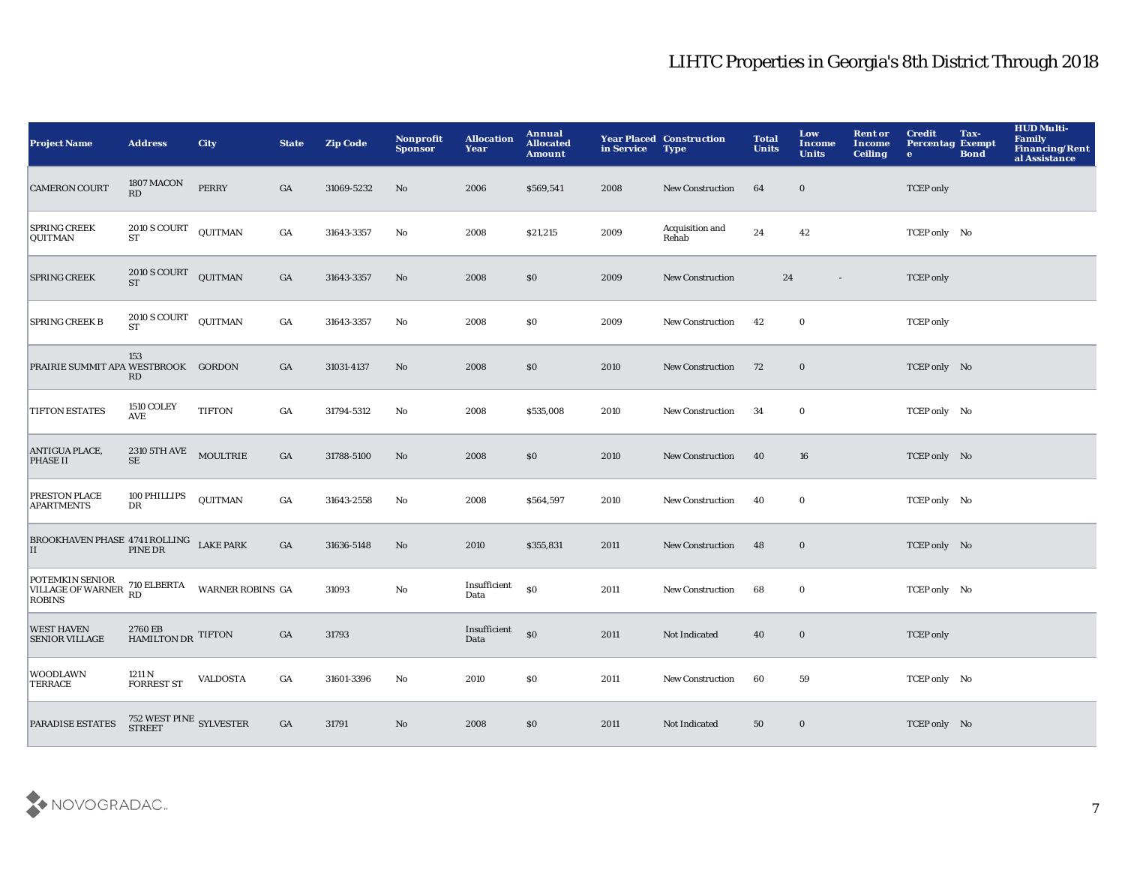| <b>Project Name</b>                                                                                                           | <b>Address</b>                                     | <b>City</b>             | <b>State</b>     | <b>Zip Code</b> | <b>Nonprofit</b><br><b>Sponsor</b> | <b>Allocation</b><br>Year | Annual<br><b>Allocated</b><br><b>Amount</b> | in Service | <b>Year Placed Construction</b><br><b>Type</b> | <b>Total</b><br><b>Units</b> | Low<br>Income<br><b>Units</b> | <b>Rent or</b><br>Income<br><b>Ceiling</b> | <b>Credit</b><br><b>Percentag Exempt</b><br>$\bullet$ | Tax-<br><b>Bond</b> | <b>HUD Multi-</b><br>Family<br>Financing/Rent<br>al Assistance |
|-------------------------------------------------------------------------------------------------------------------------------|----------------------------------------------------|-------------------------|------------------|-----------------|------------------------------------|---------------------------|---------------------------------------------|------------|------------------------------------------------|------------------------------|-------------------------------|--------------------------------------------|-------------------------------------------------------|---------------------|----------------------------------------------------------------|
| <b>CAMERON COURT</b>                                                                                                          | 1807 MACON<br>RD                                   | <b>PERRY</b>            | GA               | 31069-5232      | No                                 | 2006                      | \$569,541                                   | 2008       | New Construction                               | 64                           | $\bf{0}$                      |                                            | <b>TCEP</b> only                                      |                     |                                                                |
| <b>SPRING CREEK</b><br>QUITMAN                                                                                                | $2010\,\mathrm{S}\,\mathrm{COURT}$<br>ST           | QUITMAN                 | $_{\mathrm{GA}}$ | 31643-3357      | No                                 | 2008                      | \$21,215                                    | 2009       | Acquisition and<br>Rehab                       | 24                           | 42                            |                                            | TCEP only No                                          |                     |                                                                |
| <b>SPRING CREEK</b>                                                                                                           | 2010 S COURT QUITMAN<br><b>ST</b>                  |                         | GA               | 31643-3357      | $\rm\thinspace No$                 | 2008                      | \$0                                         | 2009       | <b>New Construction</b>                        | 24                           | $\sim$                        |                                            | <b>TCEP</b> only                                      |                     |                                                                |
| <b>SPRING CREEK B</b>                                                                                                         | 2010 S COURT<br><b>ST</b>                          | QUITMAN                 | $_{\mathrm{GA}}$ | 31643-3357      | No                                 | 2008                      | \$0                                         | 2009       | New Construction                               | 42                           | $\bf{0}$                      |                                            | <b>TCEP</b> only                                      |                     |                                                                |
| PRAIRIE SUMMIT APA WESTBROOK GORDON                                                                                           | 153<br>RD                                          |                         | GA               | 31031-4137      | No                                 | 2008                      | \$0                                         | 2010       | <b>New Construction</b>                        | 72                           | $\bf{0}$                      |                                            | TCEP only No                                          |                     |                                                                |
| <b>TIFTON ESTATES</b>                                                                                                         | <b>1510 COLEY</b><br>$\operatorname{\mathbf{AVE}}$ | <b>TIFTON</b>           | GA               | 31794-5312      | $\mathbf{No}$                      | 2008                      | \$535,008                                   | 2010       | New Construction                               | 34                           | $\bf{0}$                      |                                            | TCEP only No                                          |                     |                                                                |
| ANTIGUA PLACE,<br><b>PHASE II</b>                                                                                             | $2310$ 5TH AVE $$\tt MOUTRIE$$<br>SE               |                         | $_{\mathrm{GA}}$ | 31788-5100      | No                                 | 2008                      | $\$0$                                       | 2010       | <b>New Construction</b>                        | 40                           | 16                            |                                            | TCEP only No                                          |                     |                                                                |
| PRESTON PLACE<br><b>APARTMENTS</b>                                                                                            | 100 PHILLIPS<br>$_{\rm DR}$                        | <b>QUITMAN</b>          | GA               | 31643-2558      | No                                 | 2008                      | \$564,597                                   | 2010       | <b>New Construction</b>                        | 40                           | $\bf{0}$                      |                                            | TCEP only No                                          |                     |                                                                |
| $\begin{array}{ll} \texttt{BROOKHAVEN PHASE 4741 ROLLING} & \texttt{LAKE PARK} \\ \texttt{II} & \texttt{PINE DR} \end{array}$ |                                                    |                         | GA               | 31636-5148      | No                                 | 2010                      | \$355,831                                   | 2011       | <b>New Construction</b>                        | 48                           | $\bf{0}$                      |                                            | TCEP only No                                          |                     |                                                                |
| POTEMKIN SENIOR 710 ELBERTA VILLAGE OF WARNER $\begin{array}{cc} \text{RD} \\ \text{RD} \end{array}$<br><b>ROBINS</b>         |                                                    | <b>WARNER ROBINS GA</b> |                  | 31093           | No                                 | Insufficient<br>Data      | \$0                                         | 2011       | New Construction                               | 68                           | $\bf{0}$                      |                                            | TCEP only No                                          |                     |                                                                |
| <b>WEST HAVEN</b><br><b>SENIOR VILLAGE</b>                                                                                    | 2760 EB<br>HAMILTON DR TIFTON                      |                         | GA               | 31793           |                                    | Insufficient<br>Data      | $\boldsymbol{\mathsf{S}}$                   | 2011       | Not Indicated                                  | 40                           | $\bf{0}$                      |                                            | <b>TCEP</b> only                                      |                     |                                                                |
| <b>WOODLAWN</b><br><b>TERRACE</b>                                                                                             | 1211 N<br><b>FORREST ST</b>                        | <b>VALDOSTA</b>         | GA               | 31601-3396      | $\mathbf{No}$                      | 2010                      | \$0                                         | 2011       | New Construction                               | 60                           | 59                            |                                            | TCEP only No                                          |                     |                                                                |
| <b>PARADISE ESTATES</b>                                                                                                       | $752$ WEST PINE $\,$ SYLVESTER $\,$ STREET $\,$    |                         | GA               | 31791           | No                                 | 2008                      | \$0                                         | 2011       | Not Indicated                                  | 50                           | $\bf{0}$                      |                                            | TCEP only No                                          |                     |                                                                |

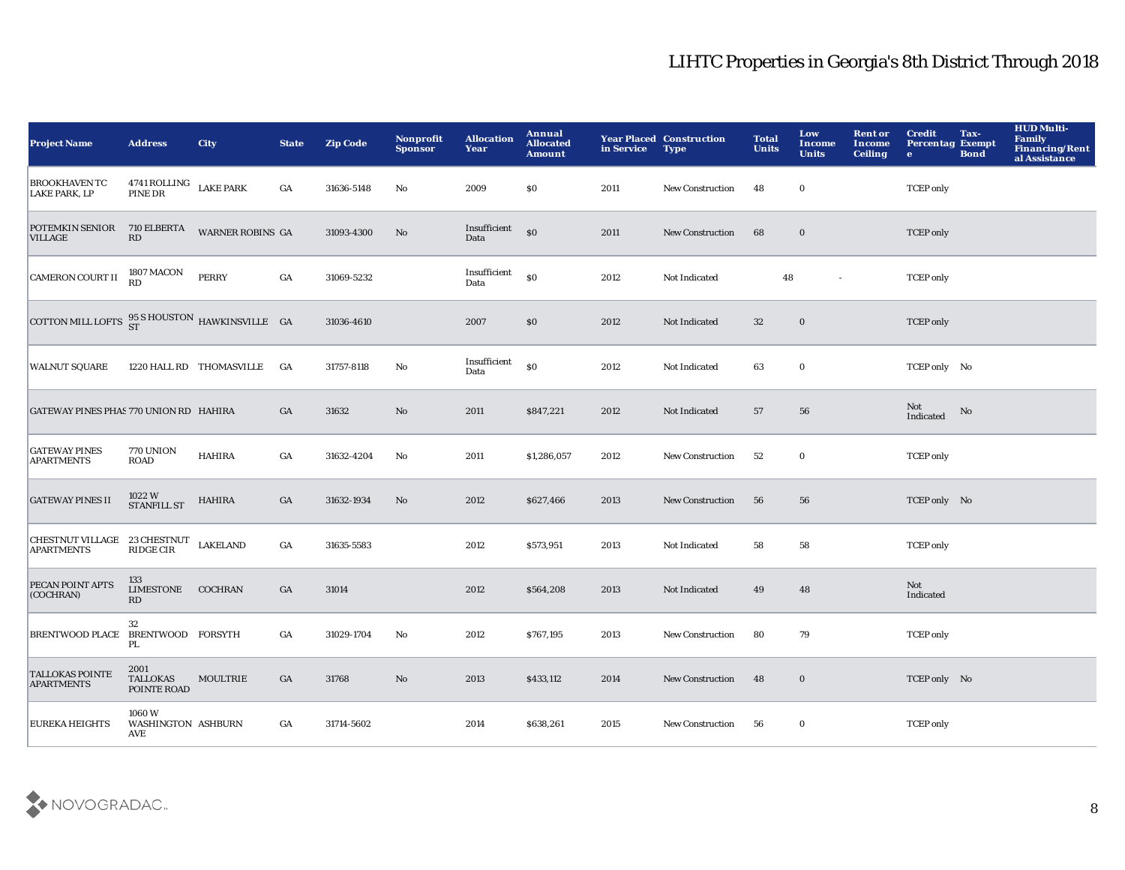| <b>Project Name</b>                                     | <b>Address</b>                             | City                     | <b>State</b>     | <b>Zip Code</b> | Nonprofit<br><b>Sponsor</b> | <b>Allocation</b><br>Year | Annual<br><b>Allocated</b><br><b>Amount</b> | in Service | <b>Year Placed Construction</b><br><b>Type</b> | <b>Total</b><br><b>Units</b> | Low<br>Income<br><b>Units</b> | <b>Rent or</b><br>Income<br><b>Ceiling</b> | <b>Credit</b><br><b>Percentag Exempt</b><br>$\bullet$ | Tax-<br><b>Bond</b> | <b>HUD Multi-</b><br><b>Family</b><br><b>Financing/Rent</b><br>al Assistance |
|---------------------------------------------------------|--------------------------------------------|--------------------------|------------------|-----------------|-----------------------------|---------------------------|---------------------------------------------|------------|------------------------------------------------|------------------------------|-------------------------------|--------------------------------------------|-------------------------------------------------------|---------------------|------------------------------------------------------------------------------|
| <b>BROOKHAVEN TC</b><br><b>LAKE PARK, LP</b>            | $4741$ ROLLING LAKE PARK PINE DR           |                          | GA               | 31636-5148      | No                          | 2009                      | \$0                                         | 2011       | New Construction                               | 48                           | $\mathbf 0$                   |                                            | <b>TCEP</b> only                                      |                     |                                                                              |
| POTEMKIN SENIOR<br><b>VILLAGE</b>                       | 710 ELBERTA<br>RD                          | <b>WARNER ROBINS GA</b>  |                  | 31093-4300      | No                          | Insufficient<br>Data      | \$0                                         | 2011       | <b>New Construction</b>                        | 68                           | $\bf{0}$                      |                                            | <b>TCEP</b> only                                      |                     |                                                                              |
| <b>CAMERON COURT II</b>                                 | 1807 MACON<br>RD                           | <b>PERRY</b>             | GA               | 31069-5232      |                             | Insufficient<br>Data      | \$0                                         | 2012       | Not Indicated                                  | 48                           | $\sim$                        |                                            | <b>TCEP</b> only                                      |                     |                                                                              |
| COTTON MILL LOFTS $^{95}_{ST}$ SHOUSTON HAWKINSVILLE GA |                                            |                          |                  | 31036-4610      |                             | 2007                      | \$0                                         | 2012       | Not Indicated                                  | 32                           | $\mathbf 0$                   |                                            | <b>TCEP</b> only                                      |                     |                                                                              |
| <b>WALNUT SQUARE</b>                                    |                                            | 1220 HALL RD THOMASVILLE | - GA             | 31757-8118      | No                          | Insufficient<br>Data      | \$0                                         | 2012       | Not Indicated                                  | 63                           | $\bf{0}$                      |                                            | TCEP only No                                          |                     |                                                                              |
| GATEWAY PINES PHAS 770 UNION RD HAHIRA                  |                                            |                          | GA               | 31632           | No                          | 2011                      | \$847,221                                   | 2012       | Not Indicated                                  | 57                           | 56                            |                                            | Not<br>Indicated                                      | No                  |                                                                              |
| <b>GATEWAY PINES</b><br><b>APARTMENTS</b>               | 770 UNION<br><b>ROAD</b>                   | <b>HAHIRA</b>            | GA               | 31632-4204      | No                          | 2011                      | \$1,286,057                                 | 2012       | <b>New Construction</b>                        | 52                           | $\mathbf 0$                   |                                            | <b>TCEP</b> only                                      |                     |                                                                              |
| <b>GATEWAY PINES II</b>                                 | $1022\mathrm{~W}$ STANFILL ST              | <b>HAHIRA</b>            | GA               | 31632-1934      | $\mathbf{No}$               | 2012                      | \$627,466                                   | 2013       | <b>New Construction</b>                        | 56                           | 56                            |                                            | TCEP only No                                          |                     |                                                                              |
| CHESTNUT VILLAGE 23 CHESTNUT<br><b>APARTMENTS</b>       | <b>RIDGE CIR</b>                           | <b>LAKELAND</b>          | GA               | 31635-5583      |                             | 2012                      | \$573,951                                   | 2013       | Not Indicated                                  | 58                           | 58                            |                                            | <b>TCEP</b> only                                      |                     |                                                                              |
| PECAN POINT APTS<br>(COCHRAN)                           | 133<br>LIMESTONE<br>$\mathbf{R}\mathbf{D}$ | <b>COCHRAN</b>           | GA               | 31014           |                             | 2012                      | \$564,208                                   | 2013       | Not Indicated                                  | 49                           | 48                            |                                            | Not<br>Indicated                                      |                     |                                                                              |
| BRENTWOOD PLACE BRENTWOOD FORSYTH                       | 32<br>PL.                                  |                          | $_{\mathrm{GA}}$ | 31029-1704      | No                          | 2012                      | \$767,195                                   | 2013       | New Construction                               | 80                           | 79                            |                                            | <b>TCEP</b> only                                      |                     |                                                                              |
| TALLOKAS POINTE<br><b>APARTMENTS</b>                    | 2001<br><b>TALLOKAS</b><br>POINTE ROAD     | MOULTRIE                 | $_{\mathrm{GA}}$ | 31768           | $\mathbf{N}\mathbf{o}$      | 2013                      | \$433,112                                   | 2014       | <b>New Construction</b>                        | 48                           | $\bf{0}$                      |                                            | TCEP only No                                          |                     |                                                                              |
| <b>EUREKA HEIGHTS</b>                                   | 1060W<br>WASHINGTON ASHBURN<br><b>AVE</b>  |                          | GA               | 31714-5602      |                             | 2014                      | \$638,261                                   | 2015       | <b>New Construction</b>                        | 56                           | $\bf{0}$                      |                                            | <b>TCEP</b> only                                      |                     |                                                                              |
|                                                         |                                            |                          |                  |                 |                             |                           |                                             |            |                                                |                              |                               |                                            |                                                       |                     |                                                                              |

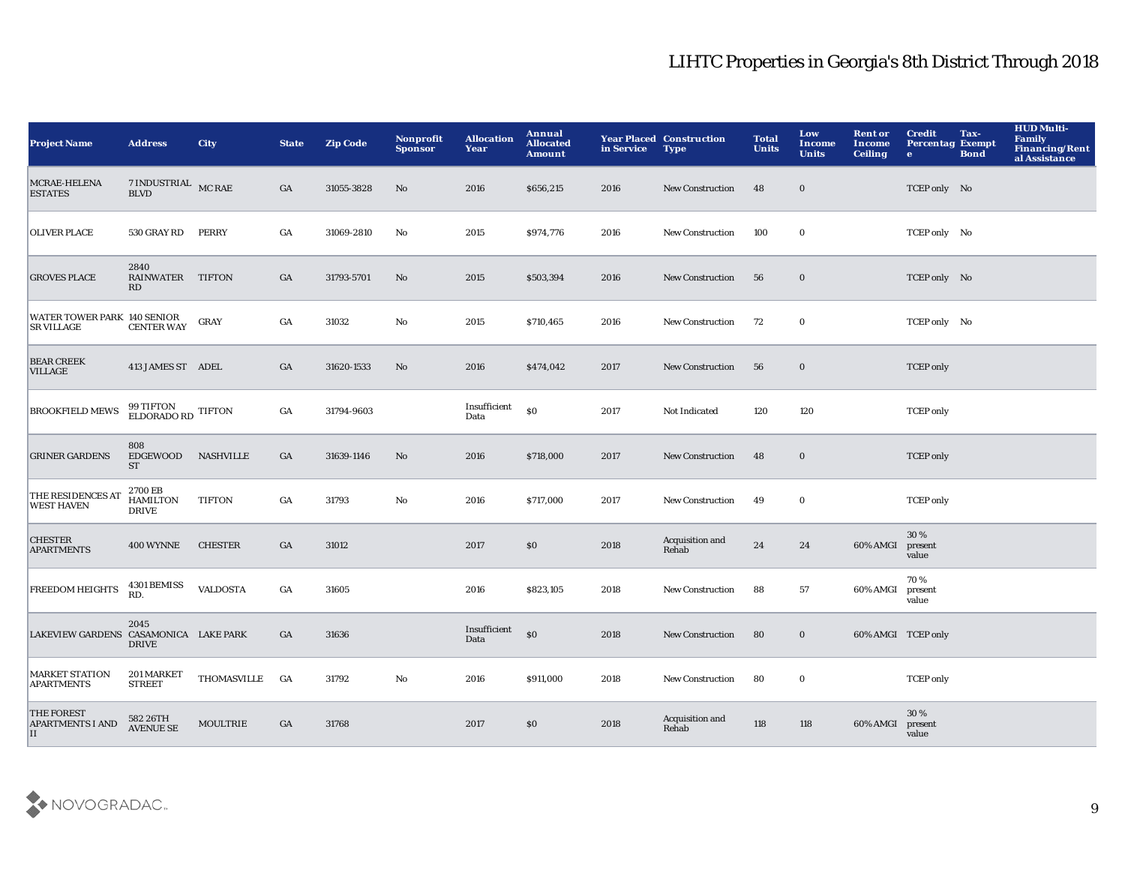| <b>Project Name</b>                                | <b>Address</b>                      | <b>City</b>      | <b>State</b>     | <b>Zip Code</b> | Nonprofit<br><b>Sponsor</b> | <b>Allocation</b><br>Year | Annual<br><b>Allocated</b><br><b>Amount</b>      | in Service | <b>Year Placed Construction</b><br><b>Type</b> | <b>Total</b><br><b>Units</b> | Low<br>Income<br><b>Units</b> | <b>Rent or</b><br>Income<br><b>Ceiling</b> | <b>Credit</b><br><b>Percentag Exempt</b><br>$\bullet$ | Tax-<br><b>Bond</b> | <b>HUD Multi-</b><br>Family<br><b>Financing/Rent</b><br>al Assistance |
|----------------------------------------------------|-------------------------------------|------------------|------------------|-----------------|-----------------------------|---------------------------|--------------------------------------------------|------------|------------------------------------------------|------------------------------|-------------------------------|--------------------------------------------|-------------------------------------------------------|---------------------|-----------------------------------------------------------------------|
| MCRAE-HELENA<br><b>ESTATES</b>                     | 7 INDUSTRIAL MC RAE<br><b>BLVD</b>  |                  | GA               | 31055-3828      | No                          | 2016                      | \$656,215                                        | 2016       | <b>New Construction</b>                        | 48                           | $\bf{0}$                      |                                            | TCEP only No                                          |                     |                                                                       |
| <b>OLIVER PLACE</b>                                | 530 GRAY RD                         | PERRY            | GA               | 31069-2810      | No                          | 2015                      | \$974,776                                        | 2016       | <b>New Construction</b>                        | 100                          | $\bf{0}$                      |                                            | TCEP only No                                          |                     |                                                                       |
| <b>GROVES PLACE</b>                                | 2840<br>RAINWATER TIFTON<br>RD      |                  | $_{\mathrm{GA}}$ | 31793-5701      | No                          | 2015                      | \$503,394                                        | 2016       | <b>New Construction</b>                        | 56                           | $\bf{0}$                      |                                            | TCEP only No                                          |                     |                                                                       |
| WATER TOWER PARK 140 SENIOR<br><b>SR VILLAGE</b>   | <b>CENTER WAY</b>                   | GRAY             | GA               | 31032           | No                          | 2015                      | \$710,465                                        | 2016       | <b>New Construction</b>                        | 72                           | $\mathbf 0$                   |                                            | TCEP only No                                          |                     |                                                                       |
| <b>BEAR CREEK</b><br><b>VILLAGE</b>                | 413 JAMES ST ADEL                   |                  | GA               | 31620-1533      | $\mathbf{N}\mathbf{o}$      | 2016                      | \$474,042                                        | 2017       | New Construction                               | 56                           | $\bf{0}$                      |                                            | <b>TCEP</b> only                                      |                     |                                                                       |
| <b>BROOKFIELD MEWS</b>                             | 99 TIFTON TIFTON ELDORADO RD        |                  | GA               | 31794-9603      |                             | Insufficient<br>Data      | \$0                                              | 2017       | Not Indicated                                  | 120                          | 120                           |                                            | <b>TCEP</b> only                                      |                     |                                                                       |
| <b>GRINER GARDENS</b>                              | 808<br><b>EDGEWOOD</b><br><b>ST</b> | <b>NASHVILLE</b> | GA               | 31639-1146      | No                          | 2016                      | \$718,000                                        | 2017       | <b>New Construction</b>                        | 48                           | $\bf{0}$                      |                                            | <b>TCEP</b> only                                      |                     |                                                                       |
| THE RESIDENCES AT<br><b>WEST HAVEN</b>             | 2700 EB<br>HAMILTON<br><b>DRIVE</b> | <b>TIFTON</b>    | GA               | 31793           | No                          | 2016                      | \$717,000                                        | 2017       | <b>New Construction</b>                        | 49                           | $\bf{0}$                      |                                            | <b>TCEP</b> only                                      |                     |                                                                       |
| <b>CHESTER</b><br><b>APARTMENTS</b>                | <b>400 WYNNE</b>                    | <b>CHESTER</b>   | GA               | 31012           |                             | 2017                      | \$0                                              | 2018       | Acquisition and<br>Rehab                       | 24                           | ${\bf 24}$                    | 60% AMGI                                   | 30 %<br>present<br>value                              |                     |                                                                       |
| <b>FREEDOM HEIGHTS</b>                             | 4301 BEMISS<br>RD.                  | <b>VALDOSTA</b>  | GA               | 31605           |                             | 2016                      | \$823,105                                        | 2018       | New Construction                               | 88                           | 57                            | 60% AMGI                                   | 70%<br>present<br>value                               |                     |                                                                       |
| LAKEVIEW GARDENS CASAMONICA LAKE PARK              | 2045<br><b>DRIVE</b>                |                  | GA               | 31636           |                             | Insufficient<br>Data      | $\boldsymbol{\mathsf{S}}\boldsymbol{\mathsf{O}}$ | 2018       | <b>New Construction</b>                        | 80                           | $\bf{0}$                      | 60% AMGI TCEP only                         |                                                       |                     |                                                                       |
| <b>MARKET STATION</b><br><b>APARTMENTS</b>         | 201 MARKET<br><b>STREET</b>         | THOMASVILLE      | GA               | 31792           | No                          | 2016                      | \$911,000                                        | 2018       | New Construction                               | 80                           | $\bf{0}$                      |                                            | <b>TCEP</b> only                                      |                     |                                                                       |
| <b>THE FOREST</b><br><b>APARTMENTS I AND</b><br>II | 582 26TH<br><b>AVENUE SE</b>        | <b>MOULTRIE</b>  | GA               | 31768           |                             | 2017                      | \$0                                              | 2018       | Acquisition and<br>Rehab                       | 118                          | 118                           | 60% AMGI                                   | 30%<br>present<br>value                               |                     |                                                                       |